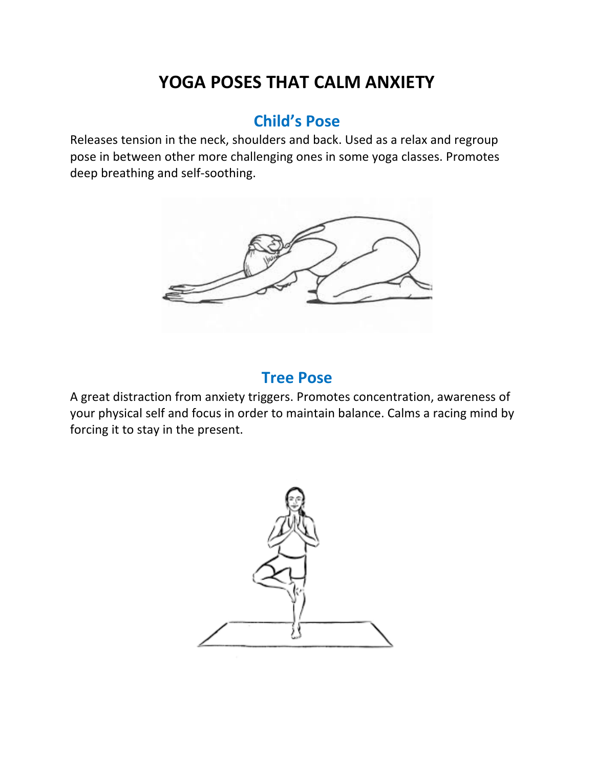# **YOGA POSES THAT CALM ANXIETY**

## **Child's Pose**

Releases tension in the neck, shoulders and back. Used as a relax and regroup pose in between other more challenging ones in some yoga classes. Promotes deep breathing and self-soothing.



#### **Tree Pose**

A great distraction from anxiety triggers. Promotes concentration, awareness of your physical self and focus in order to maintain balance. Calms a racing mind by forcing it to stay in the present.

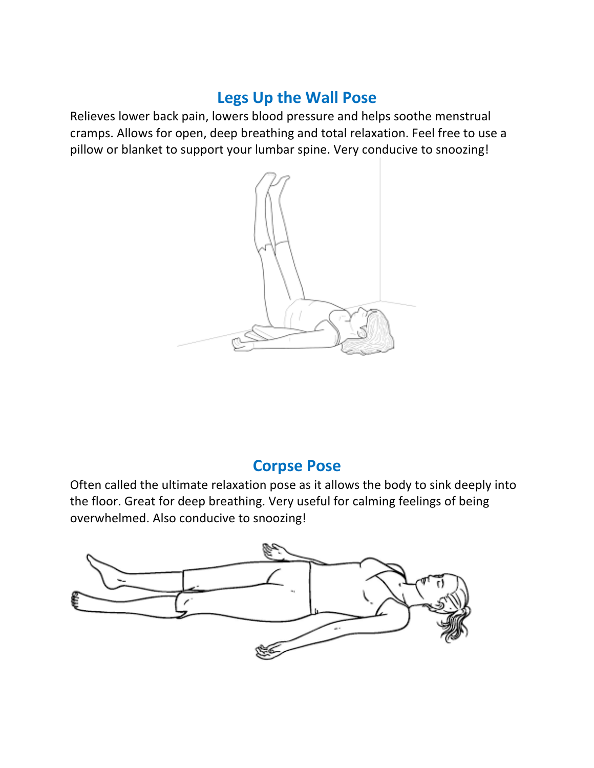## Legs Up the Wall Pose

Relieves lower back pain, lowers blood pressure and helps soothe menstrual cramps. Allows for open, deep breathing and total relaxation. Feel free to use a pillow or blanket to support your lumbar spine. Very conducive to snoozing!



## **Corpse Pose**

Often called the ultimate relaxation pose as it allows the body to sink deeply into the floor. Great for deep breathing. Very useful for calming feelings of being overwhelmed. Also conducive to snoozing!

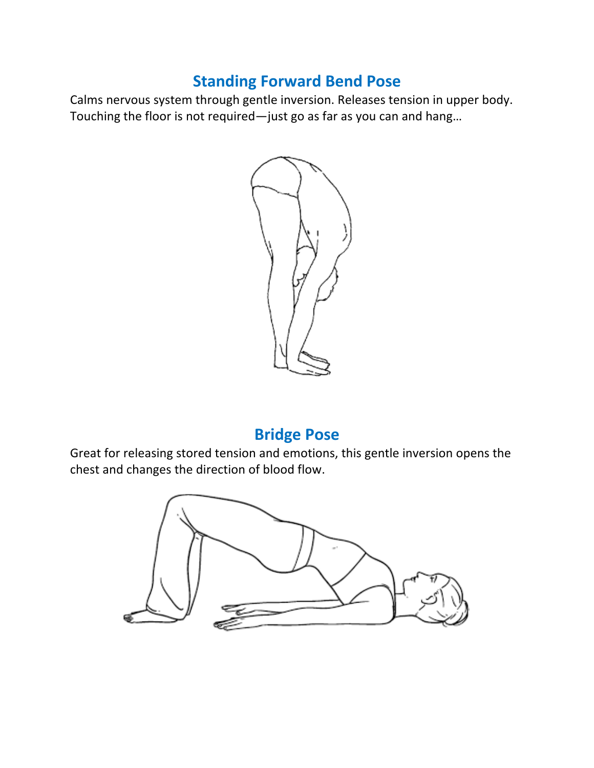## **Standing Forward Bend Pose**

Calms nervous system through gentle inversion. Releases tension in upper body. Touching the floor is not required—just go as far as you can and hang...



## **Bridge Pose**

Great for releasing stored tension and emotions, this gentle inversion opens the chest and changes the direction of blood flow.

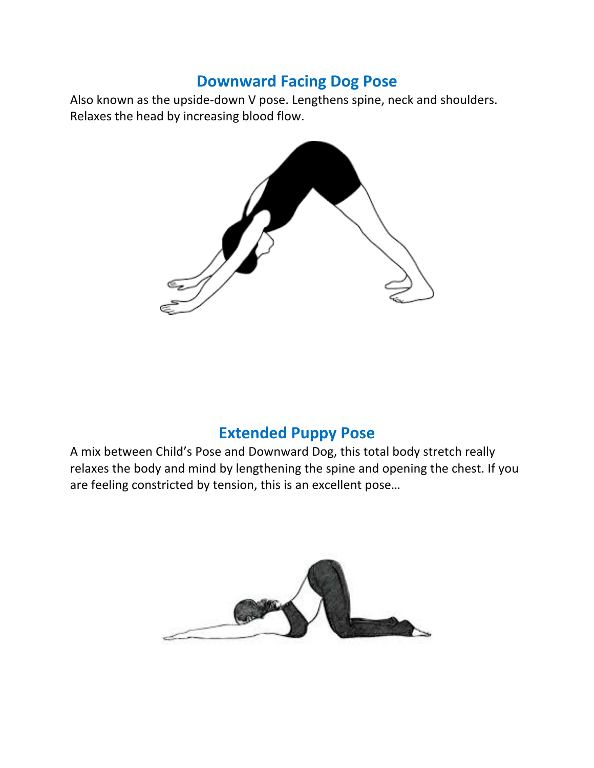## **Downward Facing Dog Pose**

Also known as the upside-down V pose. Lengthens spine, neck and shoulders. Relaxes the head by increasing blood flow.



## **Extended Puppy Pose**

A mix between Child's Pose and Downward Dog, this total body stretch really relaxes the body and mind by lengthening the spine and opening the chest. If you are feeling constricted by tension, this is an excellent pose...